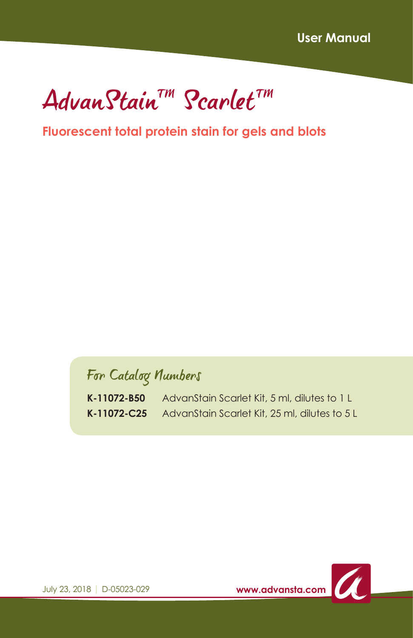AdvanStain™ Scarlet™

#### **Fluorescent total protein stain for gels and blots**

For Catalog Numbers

**K-11072-B50** AdvanStain Scarlet Kit, 5 ml, dilutes to 1 L **K-11072-C25** AdvanStain Scarlet Kit, 25 ml, dilutes to 5 L



July 23, 2018 | D-05023-029 **www.advansta.com**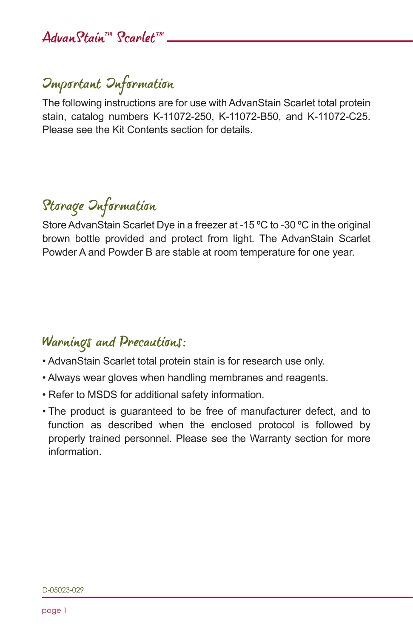## AdvanStain™ Scarlet™

## Important Information

The following instructions are for use with AdvanStain Scarlet total protein stain, catalog numbers K-11072-250, K-11072-B50, and K-11072-C25. Please see the Kit Contents section for details.

# Storage Information

Store AdvanStain Scarlet Dye in a freezer at -15 ºC to -30 ºC in the original brown bottle provided and protect from light. The AdvanStain Scarlet Powder A and Powder B are stable at room temperature for one year.

### Warnings and Precautions:

- AdvanStain Scarlet total protein stain is for research use only.
- Always wear gloves when handling membranes and reagents.
- Refer to MSDS for additional safety information.
- The product is guaranteed to be free of manufacturer defect, and to function as described when the enclosed protocol is followed by properly trained personnel. Please see the Warranty section for more information.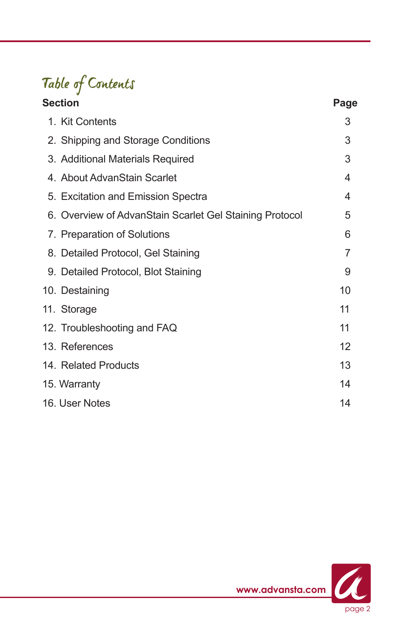# Table of Contents

| Section                                                 | Page |
|---------------------------------------------------------|------|
| 1. Kit Contents                                         | 3    |
| 2. Shipping and Storage Conditions                      | 3    |
| 3. Additional Materials Required                        | 3    |
| 4. About AdvanStain Scarlet                             | 4    |
| 5. Excitation and Emission Spectra                      | 4    |
| 6. Overview of AdvanStain Scarlet Gel Staining Protocol | 5    |
| 7. Preparation of Solutions                             | 6    |
| 8. Detailed Protocol, Gel Staining                      | 7    |
| 9. Detailed Protocol, Blot Staining                     | 9    |
| 10. Destaining                                          | 10   |
| 11. Storage                                             | 11   |
| 12. Troubleshooting and FAQ                             | 11   |
| 13. References                                          | 12   |
| 14. Related Products                                    | 13   |
| 15. Warranty                                            | 14   |
| 16. User Notes                                          | 14   |

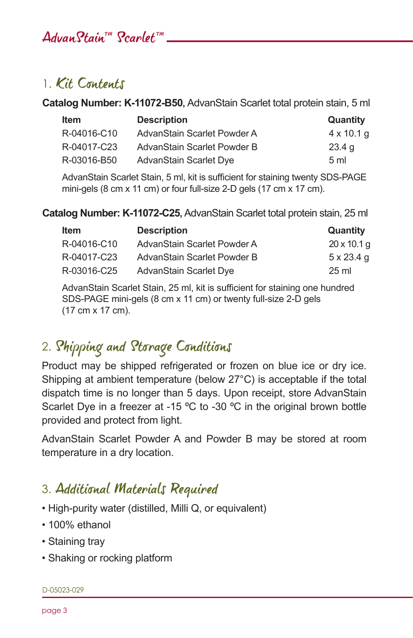## AdvanStain™ Scarlet™

### 1. Kit Contents

**Catalog Number: K-11072-B50,** AdvanStain Scarlet total protein stain, 5 ml

| <b>Item</b> | <b>Description</b>          | Quantity          |
|-------------|-----------------------------|-------------------|
| R-04016-C10 | AdvanStain Scarlet Powder A | $4 \times 10.1$ q |
| R-04017-C23 | AdvanStain Scarlet Powder B | 23.4 <sub>q</sub> |
| R-03016-B50 | AdvanStain Scarlet Dye      | 5 <sub>ml</sub>   |

AdvanStain Scarlet Stain, 5 ml, kit is sufficient for staining twenty SDS-PAGE mini-gels (8 cm x 11 cm) or four full-size 2-D gels (17 cm x 17 cm).

**Catalog Number: K-11072-C25,** AdvanStain Scarlet total protein stain, 25 ml

| <b>Item</b> | <b>Description</b>          | Quantity           |
|-------------|-----------------------------|--------------------|
| R-04016-C10 | AdvanStain Scarlet Powder A | $20 \times 10.1$ g |
| R-04017-C23 | AdvanStain Scarlet Powder B | $5 \times 23.4$ q  |
| R-03016-C25 | AdvanStain Scarlet Dye      | $25 \text{ ml}$    |

AdvanStain Scarlet Stain, 25 ml, kit is sufficient for staining one hundred SDS-PAGE mini-gels (8 cm x 11 cm) or twenty full-size 2-D gels (17 cm x 17 cm).

## 2. Shipping and Storage Conditions

Product may be shipped refrigerated or frozen on blue ice or dry ice. Shipping at ambient temperature (below 27°C) is acceptable if the total dispatch time is no longer than 5 days. Upon receipt, store AdvanStain Scarlet Dye in a freezer at -15 °C to -30 °C in the original brown bottle provided and protect from light.

AdvanStain Scarlet Powder A and Powder B may be stored at room temperature in a dry location.

### 3. Additional Materials Required

- High-purity water (distilled, Milli Q, or equivalent)
- 100% ethanol
- Staining tray
- Shaking or rocking platform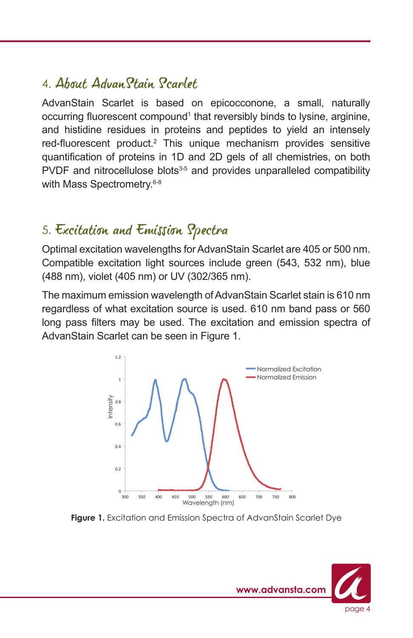## 4. About AdvanStain Scarlet

AdvanStain Scarlet is based on epicocconone, a small, naturally occurring fluorescent compound<sup>1</sup> that reversibly binds to lysine, arginine, and histidine residues in proteins and peptides to yield an intensely red-fluorescent product.<sup>2</sup> This unique mechanism provides sensitive quantification of proteins in 1D and 2D gels of all chemistries, on both PVDF and nitrocellulose blots<sup>3-5</sup> and provides unparalleled compatibility with Mass Spectrometry.<sup>6-8</sup>

## 5. Excitation and Emission Spectra

Optimal excitation wavelengths for AdvanStain Scarlet are 405 or 500 nm. Compatible excitation light sources include green (543, 532 nm), blue (488 nm), violet (405 nm) or UV (302/365 nm).

The maximum emission wavelength of AdvanStain Scarlet stain is 610 nm regardless of what excitation source is used. 610 nm band pass or 560 long pass filters may be used. The excitation and emission spectra of AdvanStain Scarlet can be seen in Figure 1.



Figure 1. Excitation and Emission Spectra of AdvanStain Scarlet Dye

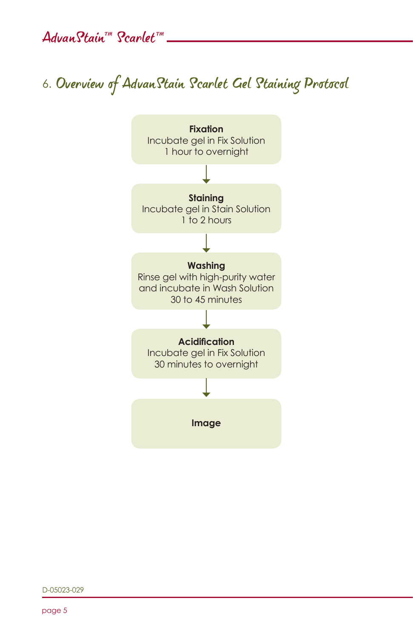AdvanStain™ Scarlet™

# 6. Overview of AdvanStain Scarlet Gel Staining Protocol



D-05023-029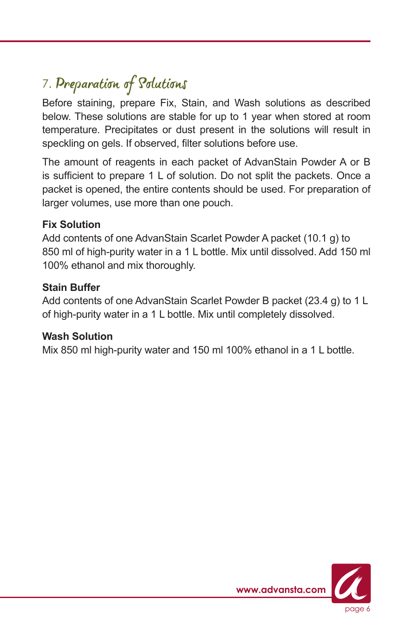# 7. Preparation of Solutions

Before staining, prepare Fix, Stain, and Wash solutions as described below. These solutions are stable for up to 1 year when stored at room temperature. Precipitates or dust present in the solutions will result in speckling on gels. If observed, filter solutions before use.

The amount of reagents in each packet of AdvanStain Powder A or B is sufficient to prepare 1 L of solution. Do not split the packets. Once a packet is opened, the entire contents should be used. For preparation of larger volumes, use more than one pouch.

#### **Fix Solution**

Add contents of one AdvanStain Scarlet Powder A packet (10.1 g) to 850 ml of high-purity water in a 1 L bottle. Mix until dissolved. Add 150 ml 100% ethanol and mix thoroughly.

#### **Stain Buffer**

Add contents of one AdvanStain Scarlet Powder B packet (23.4 g) to 1 L of high-purity water in a 1 L bottle. Mix until completely dissolved.

#### **Wash Solution**

Mix 850 ml high-purity water and 150 ml 100% ethanol in a 1 L bottle.

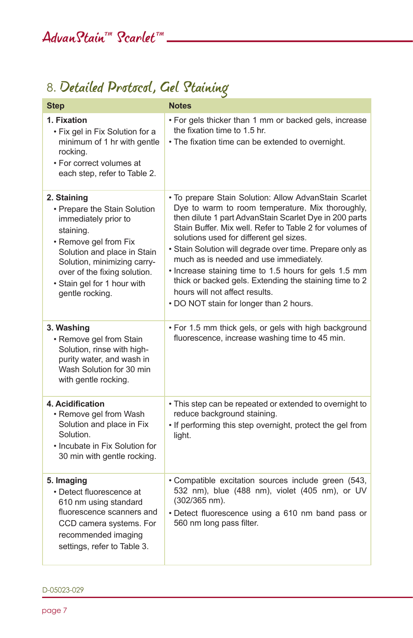## 8. Detailed Protocol, Gel Staining

| <b>Step</b>                                                                                                                                                                                                                                               | <b>Notes</b>                                                                                                                                                                                                                                                                                                                                                                                                                                                                                                                                                                    |
|-----------------------------------------------------------------------------------------------------------------------------------------------------------------------------------------------------------------------------------------------------------|---------------------------------------------------------------------------------------------------------------------------------------------------------------------------------------------------------------------------------------------------------------------------------------------------------------------------------------------------------------------------------------------------------------------------------------------------------------------------------------------------------------------------------------------------------------------------------|
| 1. Fixation<br>• Fix gel in Fix Solution for a<br>minimum of 1 hr with gentle<br>rocking.<br>• For correct volumes at<br>each step, refer to Table 2.                                                                                                     | . For gels thicker than 1 mm or backed gels, increase<br>the fixation time to 1.5 hr.<br>. The fixation time can be extended to overnight.                                                                                                                                                                                                                                                                                                                                                                                                                                      |
| 2. Staining<br>• Prepare the Stain Solution<br>immediately prior to<br>staining.<br>• Remove gel from Fix<br>Solution and place in Stain<br>Solution, minimizing carry-<br>over of the fixing solution.<br>· Stain gel for 1 hour with<br>gentle rocking. | . To prepare Stain Solution: Allow AdvanStain Scarlet<br>Dye to warm to room temperature. Mix thoroughly,<br>then dilute 1 part AdvanStain Scarlet Dye in 200 parts<br>Stain Buffer. Mix well. Refer to Table 2 for volumes of<br>solutions used for different gel sizes.<br>· Stain Solution will degrade over time. Prepare only as<br>much as is needed and use immediately.<br>. Increase staining time to 1.5 hours for gels 1.5 mm<br>thick or backed gels. Extending the staining time to 2<br>hours will not affect results.<br>. DO NOT stain for longer than 2 hours. |
| 3. Washing<br>• Remove gel from Stain<br>Solution, rinse with high-<br>purity water, and wash in<br>Wash Solution for 30 min<br>with gentle rocking.                                                                                                      | . For 1.5 mm thick gels, or gels with high background<br>fluorescence, increase washing time to 45 min.                                                                                                                                                                                                                                                                                                                                                                                                                                                                         |
| 4. Acidification<br>• Remove gel from Wash<br>Solution and place in Fix<br>Solution.<br>• Incubate in Fix Solution for<br>30 min with gentle rocking.                                                                                                     | • This step can be repeated or extended to overnight to<br>reduce background staining.<br>. If performing this step overnight, protect the gel from<br>light.                                                                                                                                                                                                                                                                                                                                                                                                                   |
| 5. Imaging<br>• Detect fluorescence at<br>610 nm using standard<br>fluorescence scanners and<br>CCD camera systems. For<br>recommended imaging<br>settings, refer to Table 3.                                                                             | · Compatible excitation sources include green (543,<br>532 nm), blue (488 nm), violet (405 nm), or UV<br>(302/365 nm).<br>• Detect fluorescence using a 610 nm band pass or<br>560 nm long pass filter.                                                                                                                                                                                                                                                                                                                                                                         |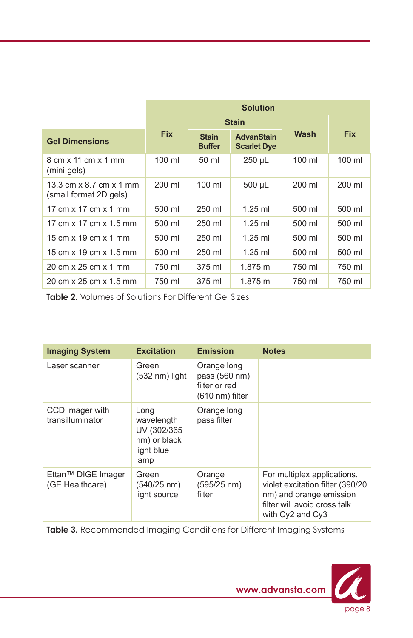|                                                                        | <b>Solution</b>  |                               |                                         |                  |            |
|------------------------------------------------------------------------|------------------|-------------------------------|-----------------------------------------|------------------|------------|
|                                                                        |                  | <b>Stain</b>                  |                                         |                  |            |
| <b>Gel Dimensions</b>                                                  | <b>Fix</b>       | <b>Stain</b><br><b>Buffer</b> | <b>AdvanStain</b><br><b>Scarlet Dye</b> | Wash             | <b>Fix</b> |
| $8 \text{ cm} \times 11 \text{ cm} \times 1 \text{ mm}$<br>(mini-gels) | $100 \mathrm{m}$ | 50 ml                         | $250 \mu L$                             | $100 \mathrm{m}$ | 100 ml     |
| 13.3 cm x 8.7 cm x 1 mm<br>(small format 2D gels)                      | 200 ml           | $100 \mathrm{m}$              | 500 µL                                  | 200 ml           | 200 ml     |
| 17 cm x 17 cm x 1 mm                                                   | 500 ml           | 250 ml                        | $1.25$ ml                               | 500 ml           | 500 ml     |
| 17 cm x 17 cm x 1.5 mm                                                 | 500 ml           | 250 ml                        | $1.25$ ml                               | 500 ml           | 500 ml     |
| 15 cm x 19 cm x 1 mm                                                   | 500 ml           | 250 ml                        | $1.25$ ml                               | 500 ml           | 500 ml     |
| 15 cm x 19 cm x 1.5 mm                                                 | 500 ml           | 250 ml                        | $1.25$ ml                               | 500 ml           | 500 ml     |
| 20 cm x 25 cm x 1 mm                                                   | 750 ml           | 375 ml                        | 1.875 ml                                | 750 ml           | 750 ml     |
| 20 cm x 25 cm x 1.5 mm                                                 | 750 ml           | 375 ml                        | 1.875 ml                                | 750 ml           | 750 ml     |

**Table 2.** Volumes of Solutions For Different Gel Sizes

| <b>Imaging System</b>                 | <b>Excitation</b>                                                       | <b>Emission</b>                                                            | <b>Notes</b>                                                                                                                                    |
|---------------------------------------|-------------------------------------------------------------------------|----------------------------------------------------------------------------|-------------------------------------------------------------------------------------------------------------------------------------------------|
| Laser scanner                         | Green<br>$(532 \text{ nm})$ light                                       | Orange long<br>pass (560 nm)<br>filter or red<br>$(610 \text{ nm})$ filter |                                                                                                                                                 |
| CCD imager with<br>transilluminator   | Long<br>wavelength<br>UV (302/365<br>nm) or black<br>light blue<br>lamp | Orange long<br>pass filter                                                 |                                                                                                                                                 |
| Ettan™ DIGE Imager<br>(GE Healthcare) | Green<br>$(540/25 \text{ nm})$<br>light source                          | Orange<br>$(595/25 \text{ nm})$<br>filter                                  | For multiplex applications,<br>violet excitation filter (390/20)<br>nm) and orange emission<br>filter will avoid cross talk<br>with Cy2 and Cy3 |

**Table 3.** Recommended Imaging Conditions for Different Imaging Systems

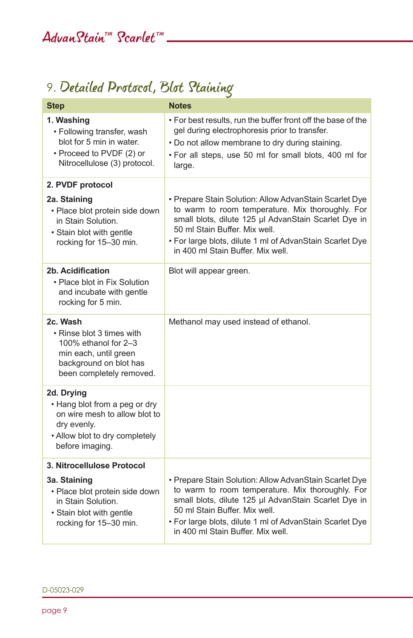# 9. Detailed Protocol, Blot Staining

| <b>Step</b>                                                                                                                                      | <b>Notes</b>                                                                                                                                                                                                                                                                                         |
|--------------------------------------------------------------------------------------------------------------------------------------------------|------------------------------------------------------------------------------------------------------------------------------------------------------------------------------------------------------------------------------------------------------------------------------------------------------|
| 1. Washing<br>• Following transfer, wash<br>blot for 5 min in water.<br>• Proceed to PVDF (2) or<br>Nitrocellulose (3) protocol.                 | . For best results, run the buffer front off the base of the<br>gel during electrophoresis prior to transfer.<br>. Do not allow membrane to dry during staining.<br>. For all steps, use 50 ml for small blots, 400 ml for<br>large.                                                                 |
| 2. PVDF protocol                                                                                                                                 |                                                                                                                                                                                                                                                                                                      |
| 2a. Staining<br>· Place blot protein side down<br>in Stain Solution.<br>· Stain blot with gentle<br>rocking for 15-30 min.                       | • Prepare Stain Solution: Allow AdvanStain Scarlet Dye<br>to warm to room temperature. Mix thoroughly. For<br>small blots, dilute 125 µl AdvanStain Scarlet Dye in<br>50 ml Stain Buffer. Mix well.<br>. For large blots, dilute 1 ml of AdvanStain Scarlet Dye<br>in 400 ml Stain Buffer. Mix well. |
| 2b. Acidification<br>• Place blot in Fix Solution<br>and incubate with gentle<br>rocking for 5 min.                                              | Blot will appear green.                                                                                                                                                                                                                                                                              |
| 2c. Wash<br>• Rinse blot 3 times with<br>100% ethanol for 2-3<br>min each, until green<br>background on blot has<br>been completely removed.     | Methanol may used instead of ethanol.                                                                                                                                                                                                                                                                |
| 2d. Drying<br>• Hang blot from a peg or dry<br>on wire mesh to allow blot to<br>dry evenly.<br>• Allow blot to dry completely<br>before imaging. |                                                                                                                                                                                                                                                                                                      |
| 3. Nitrocellulose Protocol                                                                                                                       |                                                                                                                                                                                                                                                                                                      |
| 3a. Staining<br>· Place blot protein side down<br>in Stain Solution.<br>• Stain blot with gentle<br>rocking for 15-30 min.                       | • Prepare Stain Solution: Allow AdvanStain Scarlet Dye<br>to warm to room temperature. Mix thoroughly. For<br>small blots, dilute 125 µl AdvanStain Scarlet Dye in<br>50 ml Stain Buffer, Mix well.<br>. For large blots, dilute 1 ml of AdvanStain Scarlet Dye<br>in 400 ml Stain Buffer. Mix well. |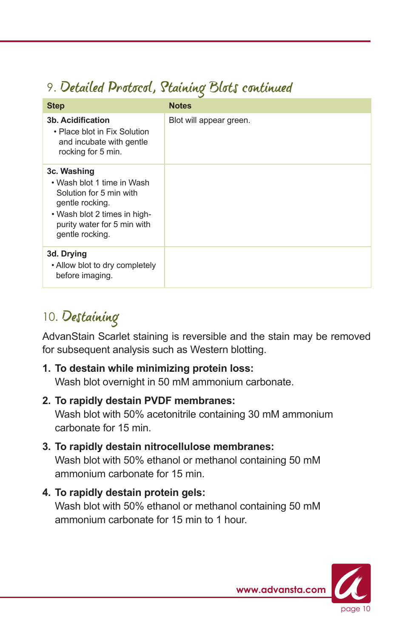## 9. Detailed Protocol, Staining Blots continued

| <b>Step</b>                                                                                                                                                               | <b>Notes</b>            |
|---------------------------------------------------------------------------------------------------------------------------------------------------------------------------|-------------------------|
| 3b. Acidification<br>• Place blot in Fix Solution<br>and incubate with gentle<br>rocking for 5 min.                                                                       | Blot will appear green. |
| 3c. Washing<br>• Wash blot 1 time in Wash<br>Solution for 5 min with<br>gentle rocking.<br>• Wash blot 2 times in high-<br>purity water for 5 min with<br>gentle rocking. |                         |
| 3d. Drying<br>• Allow blot to dry completely<br>before imaging.                                                                                                           |                         |

## 10. Destaining

AdvanStain Scarlet staining is reversible and the stain may be removed for subsequent analysis such as Western blotting.

#### **1. To destain while minimizing protein loss:**

Wash blot overnight in 50 mM ammonium carbonate.

#### **2. To rapidly destain PVDF membranes:**

 Wash blot with 50% acetonitrile containing 30 mM ammonium carbonate for 15 min.

### **3. To rapidly destain nitrocellulose membranes:**

 Wash blot with 50% ethanol or methanol containing 50 mM ammonium carbonate for 15 min.

#### **4. To rapidly destain protein gels:**

 Wash blot with 50% ethanol or methanol containing 50 mM ammonium carbonate for 15 min to 1 hour.

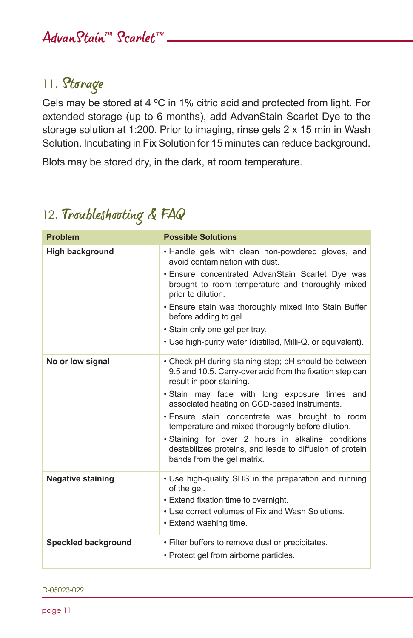### 11. Storage

Gels may be stored at 4 ºC in 1% citric acid and protected from light. For extended storage (up to 6 months), add AdvanStain Scarlet Dye to the storage solution at 1:200. Prior to imaging, rinse gels 2 x 15 min in Wash Solution. Incubating in Fix Solution for 15 minutes can reduce background.

Blots may be stored dry, in the dark, at room temperature.

## 12. Troubleshooting & FAQ

| <b>Problem</b>             | <b>Possible Solutions</b>                                                                                                                                                                                                                                                                                                                                                                                                                                                                             |
|----------------------------|-------------------------------------------------------------------------------------------------------------------------------------------------------------------------------------------------------------------------------------------------------------------------------------------------------------------------------------------------------------------------------------------------------------------------------------------------------------------------------------------------------|
| <b>High background</b>     | . Handle gels with clean non-powdered gloves, and<br>avoid contamination with dust.                                                                                                                                                                                                                                                                                                                                                                                                                   |
|                            | . Ensure concentrated AdvanStain Scarlet Dye was<br>brought to room temperature and thoroughly mixed<br>prior to dilution.                                                                                                                                                                                                                                                                                                                                                                            |
|                            | . Ensure stain was thoroughly mixed into Stain Buffer<br>before adding to gel.                                                                                                                                                                                                                                                                                                                                                                                                                        |
|                            | · Stain only one gel per tray.                                                                                                                                                                                                                                                                                                                                                                                                                                                                        |
|                            | • Use high-purity water (distilled, Milli-Q, or equivalent).                                                                                                                                                                                                                                                                                                                                                                                                                                          |
| No or low signal           | • Check pH during staining step; pH should be between<br>9.5 and 10.5. Carry-over acid from the fixation step can<br>result in poor staining.<br>. Stain may fade with long exposure times and<br>associated heating on CCD-based instruments.<br>. Ensure stain concentrate was brought to room<br>temperature and mixed thoroughly before dilution.<br>· Staining for over 2 hours in alkaline conditions<br>destabilizes proteins, and leads to diffusion of protein<br>bands from the gel matrix. |
| <b>Negative staining</b>   | • Use high-quality SDS in the preparation and running<br>of the gel.<br>• Extend fixation time to overnight.<br>. Use correct volumes of Fix and Wash Solutions.<br>• Extend washing time.                                                                                                                                                                                                                                                                                                            |
| <b>Speckled background</b> | • Filter buffers to remove dust or precipitates.<br>• Protect gel from airborne particles.                                                                                                                                                                                                                                                                                                                                                                                                            |

D-05023-029

page 11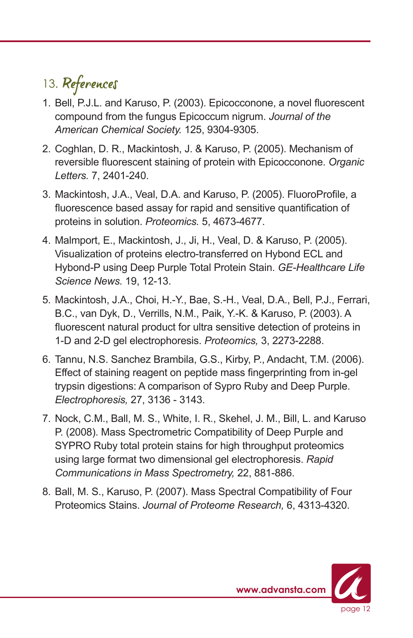# 13. References

- 1. Bell, P.J.L. and Karuso, P. (2003). Epicocconone, a novel fluorescent compound from the fungus Epicoccum nigrum. *Journal of the American Chemical Society.* 125, 9304-9305.
- 2. Coghlan, D. R., Mackintosh, J. & Karuso, P. (2005). Mechanism of reversible fluorescent staining of protein with Epicocconone. *Organic Letters.* 7, 2401-240.
- 3. Mackintosh, J.A., Veal, D.A. and Karuso, P. (2005). FluoroProfile, a fluorescence based assay for rapid and sensitive quantification of proteins in solution. *Proteomics.* 5, 4673-4677.
- 4. Malmport, E., Mackintosh, J., Ji, H., Veal, D. & Karuso, P. (2005). Visualization of proteins electro-transferred on Hybond ECL and Hybond-P using Deep Purple Total Protein Stain. *GE-Healthcare Life Science News.* 19, 12-13.
- 5. Mackintosh, J.A., Choi, H.-Y., Bae, S.-H., Veal, D.A., Bell, P.J., Ferrari, B.C., van Dyk, D., Verrills, N.M., Paik, Y.-K. & Karuso, P. (2003). A fluorescent natural product for ultra sensitive detection of proteins in 1-D and 2-D gel electrophoresis. *Proteomics,* 3, 2273-2288.
- 6. Tannu, N.S. Sanchez Brambila, G.S., Kirby, P., Andacht, T.M. (2006). Effect of staining reagent on peptide mass fingerprinting from in-gel trypsin digestions: A comparison of Sypro Ruby and Deep Purple. *Electrophoresis,* 27, 3136 - 3143.
- 7. Nock, C.M., Ball, M. S., White, I. R., Skehel, J. M., Bill, L. and Karuso P. (2008). Mass Spectrometric Compatibility of Deep Purple and SYPRO Ruby total protein stains for high throughput proteomics using large format two dimensional gel electrophoresis. *Rapid Communications in Mass Spectrometry,* 22, 881-886.
- 8. Ball, M. S., Karuso, P. (2007). Mass Spectral Compatibility of Four Proteomics Stains. *Journal of Proteome Research,* 6, 4313-4320.

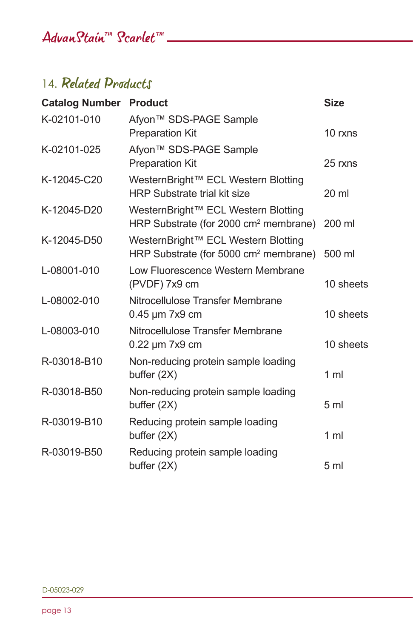## AdvanStain™ Scarlet™ <u>New York New York New York New York New York New York New York New York New York New York New York New York New York New York New York New York New York New York New York New York New York New York N</u>

## 14. Related Products

| <b>Catalog Number Product</b> |                                                                                          | <b>Size</b>      |
|-------------------------------|------------------------------------------------------------------------------------------|------------------|
| K-02101-010                   | Afyon <sup>™</sup> SDS-PAGE Sample<br><b>Preparation Kit</b>                             | 10 rxns          |
| K-02101-025                   | Afyon™ SDS-PAGE Sample<br><b>Preparation Kit</b>                                         | 25 rxns          |
| K-12045-C20                   | WesternBright™ ECL Western Blotting<br><b>HRP Substrate trial kit size</b>               | $20 \mathrm{ml}$ |
| K-12045-D20                   | WesternBright™ ECL Western Blotting<br>HRP Substrate (for 2000 cm <sup>2</sup> membrane) | 200 ml           |
| K-12045-D50                   | WesternBright™ ECL Western Blotting<br>HRP Substrate (for 5000 cm <sup>2</sup> membrane) | 500 ml           |
| L-08001-010                   | Low Fluorescence Western Membrane<br>(PVDF) 7x9 cm                                       | 10 sheets        |
| L-08002-010                   | Nitrocellulose Transfer Membrane<br>$0.45 \,\mathrm{\upmu m}$ 7x9 cm                     | 10 sheets        |
| L-08003-010                   | Nitrocellulose Transfer Membrane<br>0.22 µm 7x9 cm                                       | 10 sheets        |
| R-03018-B10                   | Non-reducing protein sample loading<br>buffer (2X)                                       | 1 <sub>m</sub>   |
| R-03018-B50                   | Non-reducing protein sample loading<br>buffer (2X)                                       | 5 <sub>m</sub>   |
| R-03019-B10                   | Reducing protein sample loading<br>buffer (2X)                                           | 1 <sub>m</sub>   |
| R-03019-B50                   | Reducing protein sample loading<br>buffer (2X)                                           | 5 <sub>m</sub>   |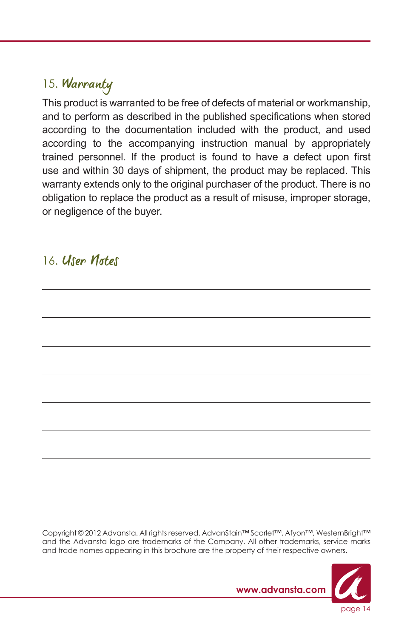### 15. Warranty

This product is warranted to be free of defects of material or workmanship, and to perform as described in the published specifications when stored according to the documentation included with the product, and used according to the accompanying instruction manual by appropriately trained personnel. If the product is found to have a defect upon first use and within 30 days of shipment, the product may be replaced. This warranty extends only to the original purchaser of the product. There is no obligation to replace the product as a result of misuse, improper storage, or negligence of the buyer.

#### 16. User Notes

Copyright © 2012 Advansta. All rights reserved. AdvanStain™ Scarlet™, Afyon™, WesternBright™ and the Advansta logo are trademarks of the Company. All other trademarks, service marks and trade names appearing in this brochure are the property of their respective owners.